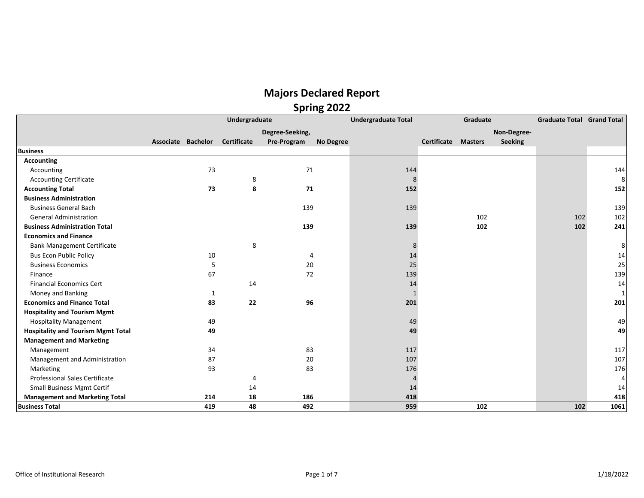| ס.                                        |  |                    |                    |                 |                            |              |             |                |             |     |                                   |  |
|-------------------------------------------|--|--------------------|--------------------|-----------------|----------------------------|--------------|-------------|----------------|-------------|-----|-----------------------------------|--|
|                                           |  |                    | Undergraduate      |                 | <b>Undergraduate Total</b> |              |             | Graduate       |             |     | <b>Graduate Total Grand Total</b> |  |
|                                           |  |                    |                    | Degree-Seeking, |                            |              |             |                | Non-Degree- |     |                                   |  |
|                                           |  | Associate Bachelor | <b>Certificate</b> | Pre-Program     | No Degree                  |              | Certificate | <b>Masters</b> | Seeking     |     |                                   |  |
| <b>Business</b>                           |  |                    |                    |                 |                            |              |             |                |             |     |                                   |  |
| Accounting                                |  |                    |                    |                 |                            |              |             |                |             |     |                                   |  |
| Accounting                                |  | 73                 |                    | 71              |                            | 144          |             |                |             |     | 144                               |  |
| <b>Accounting Certificate</b>             |  |                    | 8                  |                 |                            | 8            |             |                |             |     | 8                                 |  |
| <b>Accounting Total</b>                   |  | 73                 | 8                  | 71              |                            | 152          |             |                |             |     | 152                               |  |
| <b>Business Administration</b>            |  |                    |                    |                 |                            |              |             |                |             |     |                                   |  |
| <b>Business General Bach</b>              |  |                    |                    | 139             |                            | 139          |             |                |             |     | 139                               |  |
| <b>General Administration</b>             |  |                    |                    |                 |                            |              |             | 102            |             | 102 | 102                               |  |
| <b>Business Administration Total</b>      |  |                    |                    | 139             |                            | 139          |             | 102            |             | 102 | 241                               |  |
| <b>Economics and Finance</b>              |  |                    |                    |                 |                            |              |             |                |             |     |                                   |  |
| <b>Bank Management Certificate</b>        |  |                    | 8                  |                 |                            | 8            |             |                |             |     | 8                                 |  |
| <b>Bus Econ Public Policy</b>             |  | 10                 |                    | $\overline{4}$  |                            | 14           |             |                |             |     | 14                                |  |
| <b>Business Economics</b>                 |  | 5                  |                    | 20              |                            | 25           |             |                |             |     | 25                                |  |
| Finance                                   |  | 67                 |                    | 72              |                            | 139          |             |                |             |     | 139                               |  |
| <b>Financial Economics Cert</b>           |  |                    | 14                 |                 |                            | 14           |             |                |             |     | 14                                |  |
| Money and Banking                         |  | 1                  |                    |                 |                            | $\mathbf{1}$ |             |                |             |     | 1                                 |  |
| <b>Economics and Finance Total</b>        |  | 83                 | 22                 | 96              |                            | 201          |             |                |             |     | 201                               |  |
| <b>Hospitality and Tourism Mgmt</b>       |  |                    |                    |                 |                            |              |             |                |             |     |                                   |  |
| <b>Hospitality Management</b>             |  | 49                 |                    |                 |                            | 49           |             |                |             |     | 49                                |  |
| <b>Hospitality and Tourism Mgmt Total</b> |  | 49                 |                    |                 |                            | 49           |             |                |             |     | 49                                |  |
| <b>Management and Marketing</b>           |  |                    |                    |                 |                            |              |             |                |             |     |                                   |  |
| Management                                |  | 34                 |                    | 83              |                            | 117          |             |                |             |     | 117                               |  |
| Management and Administration             |  | 87                 |                    | 20              |                            | 107          |             |                |             |     | 107                               |  |
| Marketing                                 |  | 93                 |                    | 83              |                            | 176          |             |                |             |     | 176                               |  |
| <b>Professional Sales Certificate</b>     |  |                    | 4                  |                 |                            | 4            |             |                |             |     | 4                                 |  |
| <b>Small Business Mgmt Certif</b>         |  |                    | 14                 |                 |                            | 14           |             |                |             |     | 14                                |  |
| <b>Management and Marketing Total</b>     |  | 214                | 18                 | 186             |                            | 418          |             |                |             |     | 418                               |  |
| <b>Business Total</b>                     |  | 419                | 48                 | 492             |                            | 959          |             | 102            |             | 102 | 1061                              |  |
|                                           |  |                    |                    |                 |                            |              |             |                |             |     |                                   |  |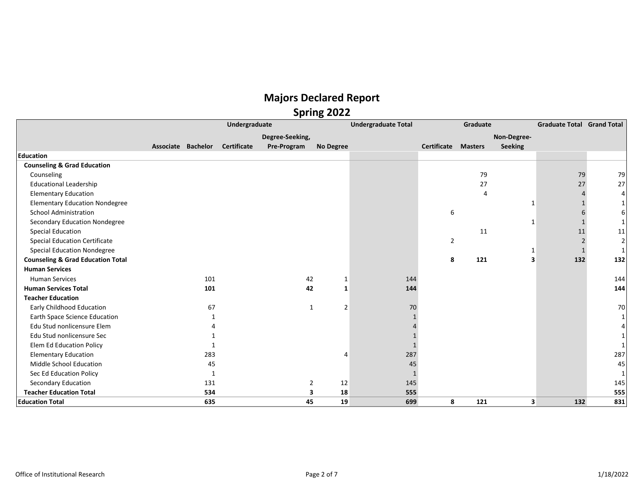|                                              | Undergraduate      |     |                    |                 |                | <b>Undergraduate Total</b> | Graduate           |                |                | <b>Graduate Total Grand Total</b> |                |
|----------------------------------------------|--------------------|-----|--------------------|-----------------|----------------|----------------------------|--------------------|----------------|----------------|-----------------------------------|----------------|
|                                              |                    |     |                    | Degree-Seeking, |                |                            |                    |                | Non-Degree-    |                                   |                |
|                                              | Associate Bachelor |     | <b>Certificate</b> | Pre-Program     | No Degree      |                            | <b>Certificate</b> | <b>Masters</b> | <b>Seeking</b> |                                   |                |
| <b>Education</b>                             |                    |     |                    |                 |                |                            |                    |                |                |                                   |                |
| <b>Counseling &amp; Grad Education</b>       |                    |     |                    |                 |                |                            |                    |                |                |                                   |                |
| Counseling                                   |                    |     |                    |                 |                |                            |                    | 79             |                | 79                                | 79             |
| <b>Educational Leadership</b>                |                    |     |                    |                 |                |                            |                    | 27             |                | 27                                | 27             |
| <b>Elementary Education</b>                  |                    |     |                    |                 |                |                            |                    | 4              |                |                                   | 4              |
| <b>Elementary Education Nondegree</b>        |                    |     |                    |                 |                |                            |                    |                |                |                                   |                |
| <b>School Administration</b>                 |                    |     |                    |                 |                |                            | 6                  |                |                |                                   |                |
| Secondary Education Nondegree                |                    |     |                    |                 |                |                            |                    |                | -1             |                                   |                |
| Special Education                            |                    |     |                    |                 |                |                            |                    | 11             |                | 11                                | 11             |
| <b>Special Education Certificate</b>         |                    |     |                    |                 |                |                            | $\overline{2}$     |                |                |                                   | $\overline{2}$ |
| <b>Special Education Nondegree</b>           |                    |     |                    |                 |                |                            |                    |                | 1              |                                   |                |
| <b>Counseling &amp; Grad Education Total</b> |                    |     |                    |                 |                |                            | 8                  | 121            | 3              | 132                               | 132            |
| <b>Human Services</b>                        |                    |     |                    |                 |                |                            |                    |                |                |                                   |                |
| <b>Human Services</b>                        |                    | 101 |                    | 42              | 1              | 144                        |                    |                |                |                                   | 144            |
| <b>Human Services Total</b>                  |                    | 101 |                    | 42              | 1              | 144                        |                    |                |                |                                   | 144            |
| <b>Teacher Education</b>                     |                    |     |                    |                 |                |                            |                    |                |                |                                   |                |
| Early Childhood Education                    |                    | 67  |                    | $\mathbf{1}$    | $\overline{2}$ | 70                         |                    |                |                |                                   | 70             |
| Earth Space Science Education                |                    |     |                    |                 |                |                            |                    |                |                |                                   |                |
| Edu Stud nonlicensure Elem                   |                    |     |                    |                 |                |                            |                    |                |                |                                   |                |
| Edu Stud nonlicensure Sec                    |                    |     |                    |                 |                |                            |                    |                |                |                                   |                |
| <b>Elem Ed Education Policy</b>              |                    |     |                    |                 |                |                            |                    |                |                |                                   |                |
| <b>Elementary Education</b>                  |                    | 283 |                    |                 |                | 287                        |                    |                |                |                                   | 287            |
| Middle School Education                      |                    | 45  |                    |                 |                | 45                         |                    |                |                |                                   | 45             |
| Sec Ed Education Policy                      |                    | 1   |                    |                 |                |                            |                    |                |                |                                   |                |
| Secondary Education                          |                    | 131 |                    | $\overline{2}$  | 12             | 145                        |                    |                |                |                                   | 145            |
| <b>Teacher Education Total</b>               |                    | 534 |                    | 3               | 18             | 555                        |                    |                |                |                                   | 555            |
| <b>Education Total</b>                       |                    | 635 |                    | 45              | 19             | 699                        | 8                  | 121            | 3              | 132                               | 831            |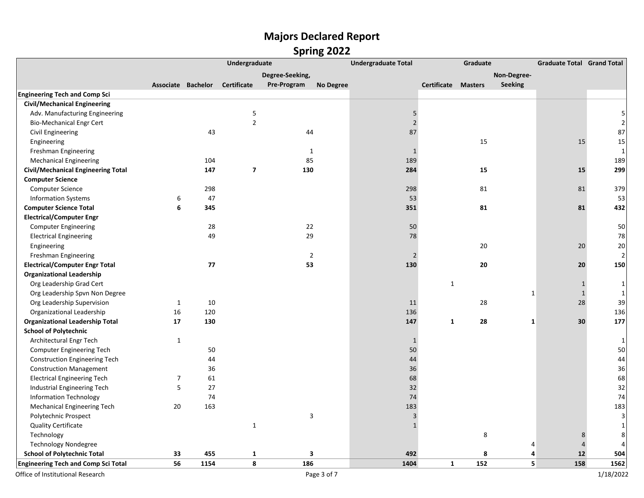|                                            |                | Undergraduate      |                         |                 | <b>Undergraduate Total</b> | Graduate       |                            |     | <b>Graduate Total Grand Total</b> |                |                |
|--------------------------------------------|----------------|--------------------|-------------------------|-----------------|----------------------------|----------------|----------------------------|-----|-----------------------------------|----------------|----------------|
|                                            |                |                    |                         | Degree-Seeking, |                            |                |                            |     | Non-Degree-                       |                |                |
|                                            |                | Associate Bachelor | <b>Certificate</b>      | Pre-Program     | <b>No Degree</b>           |                | <b>Certificate Masters</b> |     | <b>Seeking</b>                    |                |                |
| <b>Engineering Tech and Comp Sci</b>       |                |                    |                         |                 |                            |                |                            |     |                                   |                |                |
| <b>Civil/Mechanical Engineering</b>        |                |                    |                         |                 |                            |                |                            |     |                                   |                |                |
| Adv. Manufacturing Engineering             |                |                    | 5                       |                 |                            | $\mathsf S$    |                            |     |                                   |                | 5              |
| <b>Bio-Mechanical Engr Cert</b>            |                |                    | $\overline{2}$          |                 |                            | $\overline{2}$ |                            |     |                                   |                | $\overline{2}$ |
| Civil Engineering                          |                | 43                 |                         | 44              |                            | 87             |                            |     |                                   |                | 87             |
| Engineering                                |                |                    |                         |                 |                            |                |                            | 15  |                                   | 15             | 15             |
| Freshman Engineering                       |                |                    |                         | 1               |                            | $\mathbf{1}$   |                            |     |                                   |                | 1              |
| <b>Mechanical Engineering</b>              |                | 104                |                         | 85              |                            | 189            |                            |     |                                   |                | 189            |
| <b>Civil/Mechanical Engineering Total</b>  |                | 147                | $\overline{\mathbf{z}}$ | 130             |                            | 284            |                            | 15  |                                   | 15             | 299            |
| <b>Computer Science</b>                    |                |                    |                         |                 |                            |                |                            |     |                                   |                |                |
| Computer Science                           |                | 298                |                         |                 |                            | 298            |                            | 81  |                                   | 81             | 379            |
| <b>Information Systems</b>                 | 6              | 47                 |                         |                 |                            | 53             |                            |     |                                   |                | 53             |
| <b>Computer Science Total</b>              | 6              | 345                |                         |                 |                            | 351            |                            | 81  |                                   | 81             | 432            |
| <b>Electrical/Computer Engr</b>            |                |                    |                         |                 |                            |                |                            |     |                                   |                |                |
| <b>Computer Engineering</b>                |                | 28                 |                         | 22              |                            | 50             |                            |     |                                   |                | 50             |
| <b>Electrical Engineering</b>              |                | 49                 |                         | 29              |                            | 78             |                            |     |                                   |                | 78             |
| Engineering                                |                |                    |                         |                 |                            |                |                            | 20  |                                   | 20             | 20             |
| Freshman Engineering                       |                |                    |                         | $\overline{2}$  |                            | $\sqrt{2}$     |                            |     |                                   |                | 2              |
| <b>Electrical/Computer Engr Total</b>      |                | 77                 |                         | 53              |                            | 130            |                            | 20  |                                   | 20             | 150            |
| <b>Organizational Leadership</b>           |                |                    |                         |                 |                            |                |                            |     |                                   |                |                |
| Org Leadership Grad Cert                   |                |                    |                         |                 |                            |                | $\mathbf{1}$               |     |                                   | $\mathbf{1}$   | 1              |
| Org Leadership Spvn Non Degree             |                |                    |                         |                 |                            |                |                            |     | $\mathbf{1}$                      | $\mathbf 1$    | 1              |
| Org Leadership Supervision                 | 1              | 10                 |                         |                 |                            | 11             |                            | 28  |                                   | 28             | 39             |
| Organizational Leadership                  | 16             | 120                |                         |                 |                            | 136            |                            |     |                                   |                | 136            |
| <b>Organizational Leadership Total</b>     | 17             | 130                |                         |                 |                            | 147            | 1                          | 28  | 1                                 | 30             | 177            |
| <b>School of Polytechnic</b>               |                |                    |                         |                 |                            |                |                            |     |                                   |                |                |
| Architectural Engr Tech                    | 1              |                    |                         |                 |                            | $\mathbf{1}$   |                            |     |                                   |                | 1              |
| Computer Engineering Tech                  |                | 50                 |                         |                 |                            | 50             |                            |     |                                   |                | 50             |
| <b>Construction Engineering Tech</b>       |                | 44                 |                         |                 |                            | 44             |                            |     |                                   |                | 44             |
| <b>Construction Management</b>             |                | 36                 |                         |                 |                            | 36             |                            |     |                                   |                | 36             |
| <b>Electrical Engineering Tech</b>         | $\overline{7}$ | 61                 |                         |                 |                            | 68             |                            |     |                                   |                | 68             |
| Industrial Engineering Tech                | 5              | 27                 |                         |                 |                            | 32             |                            |     |                                   |                | 32             |
| <b>Information Technology</b>              |                | 74                 |                         |                 |                            | 74             |                            |     |                                   |                | 74             |
| <b>Mechanical Engineering Tech</b>         | 20             | 163                |                         |                 |                            | 183            |                            |     |                                   |                | 183            |
| Polytechnic Prospect                       |                |                    |                         | 3               |                            | $\mathsf 3$    |                            |     |                                   |                | 3              |
| <b>Quality Certificate</b>                 |                |                    | $\mathbf{1}$            |                 |                            | $\mathbf{1}$   |                            |     |                                   |                | 1              |
| Technology                                 |                |                    |                         |                 |                            |                |                            | 8   |                                   | 8              | 8              |
| <b>Technology Nondegree</b>                |                |                    |                         |                 |                            |                |                            |     | 4                                 | $\overline{4}$ |                |
| <b>School of Polytechnic Total</b>         | 33             | 455                | $\mathbf{1}$            | 3               |                            | 492            |                            | 8   | 4                                 | 12             | 504            |
| <b>Engineering Tech and Comp Sci Total</b> | 56             | 1154               | 8                       | 186             |                            | 1404           | $\mathbf{1}$               | 152 | 5                                 | 158            | 1562           |
| Office of Institutional Research           |                |                    |                         |                 | Page 3 of 7                |                |                            |     |                                   |                | 1/18/2022      |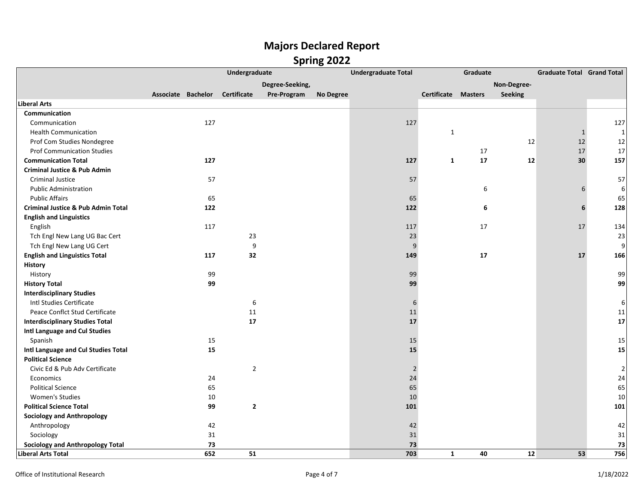|                                               |                    |     | Undergraduate      |                 |           | <b>Undergraduate Total</b> |                            | Graduate |             | <b>Graduate Total Grand Total</b> |                |
|-----------------------------------------------|--------------------|-----|--------------------|-----------------|-----------|----------------------------|----------------------------|----------|-------------|-----------------------------------|----------------|
|                                               |                    |     |                    | Degree-Seeking, |           |                            |                            |          | Non-Degree- |                                   |                |
|                                               | Associate Bachelor |     | <b>Certificate</b> | Pre-Program     | No Degree |                            | <b>Certificate Masters</b> |          | Seeking     |                                   |                |
| <b>Liberal Arts</b>                           |                    |     |                    |                 |           |                            |                            |          |             |                                   |                |
| Communication                                 |                    |     |                    |                 |           |                            |                            |          |             |                                   |                |
| Communication                                 |                    | 127 |                    |                 |           | 127                        |                            |          |             |                                   | 127            |
| <b>Health Communication</b>                   |                    |     |                    |                 |           |                            | 1                          |          |             | $\mathbf{1}$                      | $\mathbf{1}$   |
| Prof Com Studies Nondegree                    |                    |     |                    |                 |           |                            |                            |          | 12          | 12                                | 12             |
| <b>Prof Communication Studies</b>             |                    |     |                    |                 |           |                            |                            | 17       |             | 17                                | 17             |
| <b>Communication Total</b>                    |                    | 127 |                    |                 |           | 127                        | $\mathbf{1}$               | 17       | 12          | 30                                | 157            |
| <b>Criminal Justice &amp; Pub Admin</b>       |                    |     |                    |                 |           |                            |                            |          |             |                                   |                |
| Criminal Justice                              |                    | 57  |                    |                 |           | 57                         |                            |          |             |                                   | 57             |
| <b>Public Administration</b>                  |                    |     |                    |                 |           |                            |                            | 6        |             | 6                                 | $6\vert$       |
| <b>Public Affairs</b>                         |                    | 65  |                    |                 |           | 65                         |                            |          |             |                                   | 65             |
| <b>Criminal Justice &amp; Pub Admin Total</b> |                    | 122 |                    |                 |           | 122                        |                            | 6        |             | 6                                 | 128            |
| <b>English and Linguistics</b>                |                    |     |                    |                 |           |                            |                            |          |             |                                   |                |
| English                                       |                    | 117 |                    |                 |           | 117                        |                            | 17       |             | 17                                | 134            |
| Tch Engl New Lang UG Bac Cert                 |                    |     | 23                 |                 |           | 23                         |                            |          |             |                                   | 23             |
| Tch Engl New Lang UG Cert                     |                    |     | 9                  |                 |           | 9                          |                            |          |             |                                   | 9              |
| <b>English and Linguistics Total</b>          |                    | 117 | 32                 |                 |           | 149                        |                            | 17       |             | 17                                | 166            |
| <b>History</b>                                |                    |     |                    |                 |           |                            |                            |          |             |                                   |                |
| History                                       |                    | 99  |                    |                 |           | 99                         |                            |          |             |                                   | 99             |
| <b>History Total</b>                          |                    | 99  |                    |                 |           | 99                         |                            |          |             |                                   | 99             |
| <b>Interdisciplinary Studies</b>              |                    |     |                    |                 |           |                            |                            |          |             |                                   |                |
| Intl Studies Certificate                      |                    |     | 6                  |                 |           | 6                          |                            |          |             |                                   | $6 \mid$       |
| Peace Conflct Stud Certificate                |                    |     | 11                 |                 |           | 11                         |                            |          |             |                                   | 11             |
| <b>Interdisciplinary Studies Total</b>        |                    |     | 17                 |                 |           | 17                         |                            |          |             |                                   | 17             |
| Intl Language and Cul Studies                 |                    |     |                    |                 |           |                            |                            |          |             |                                   |                |
| Spanish                                       |                    | 15  |                    |                 |           | 15                         |                            |          |             |                                   | 15             |
| Intl Language and Cul Studies Total           |                    | 15  |                    |                 |           | 15                         |                            |          |             |                                   | 15             |
| <b>Political Science</b>                      |                    |     |                    |                 |           |                            |                            |          |             |                                   |                |
| Civic Ed & Pub Adv Certificate                |                    |     | $\overline{2}$     |                 |           | $\overline{2}$             |                            |          |             |                                   | $\overline{2}$ |
| Economics                                     |                    | 24  |                    |                 |           | 24                         |                            |          |             |                                   | 24             |
| <b>Political Science</b>                      |                    | 65  |                    |                 |           | 65                         |                            |          |             |                                   | 65             |
| Women's Studies                               |                    | 10  |                    |                 |           | 10                         |                            |          |             |                                   | 10             |
| <b>Political Science Total</b>                |                    | 99  | $\mathbf{2}$       |                 |           | 101                        |                            |          |             |                                   | 101            |
| <b>Sociology and Anthropology</b>             |                    |     |                    |                 |           |                            |                            |          |             |                                   |                |
| Anthropology                                  |                    | 42  |                    |                 |           | 42                         |                            |          |             |                                   | 42             |
| Sociology                                     |                    | 31  |                    |                 |           | 31                         |                            |          |             |                                   | $31\,$         |
| <b>Sociology and Anthropology Total</b>       |                    | 73  |                    |                 |           | 73                         |                            |          |             |                                   | 73             |
| <b>Liberal Arts Total</b>                     |                    | 652 | 51                 |                 |           | 703                        | $\mathbf{1}$               | 40       | 12          | 53                                | 756            |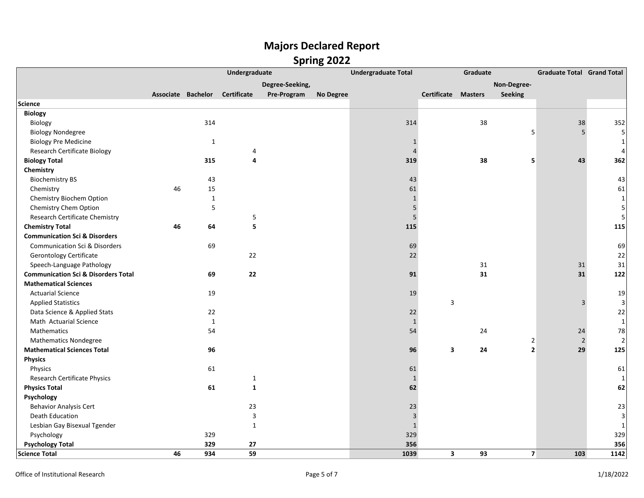|                                                | Undergraduate      |              |                    |                 | <b>Undergraduate Total</b> | Graduate       |                         |                | <b>Graduate Total Grand Total</b> |                |                |
|------------------------------------------------|--------------------|--------------|--------------------|-----------------|----------------------------|----------------|-------------------------|----------------|-----------------------------------|----------------|----------------|
|                                                |                    |              |                    | Degree-Seeking, |                            |                |                         |                | Non-Degree-                       |                |                |
|                                                | Associate Bachelor |              | <b>Certificate</b> | Pre-Program     | No Degree                  |                | Certificate             | <b>Masters</b> | Seeking                           |                |                |
| <b>Science</b>                                 |                    |              |                    |                 |                            |                |                         |                |                                   |                |                |
| <b>Biology</b>                                 |                    |              |                    |                 |                            |                |                         |                |                                   |                |                |
| Biology                                        |                    | 314          |                    |                 |                            | 314            |                         | 38             |                                   | 38             | 352            |
| <b>Biology Nondegree</b>                       |                    |              |                    |                 |                            |                |                         |                | 5                                 | 5              | 5              |
| <b>Biology Pre Medicine</b>                    |                    | $\mathbf{1}$ |                    |                 |                            | 1              |                         |                |                                   |                |                |
| <b>Research Certificate Biology</b>            |                    |              | 4                  |                 |                            | $\overline{4}$ |                         |                |                                   |                |                |
| <b>Biology Total</b>                           |                    | 315          | 4                  |                 |                            | 319            |                         | 38             | 5                                 | 43             | 362            |
| Chemistry                                      |                    |              |                    |                 |                            |                |                         |                |                                   |                |                |
| <b>Biochemistry BS</b>                         |                    | 43           |                    |                 |                            | 43             |                         |                |                                   |                | 43             |
| Chemistry                                      | 46                 | 15           |                    |                 |                            | 61             |                         |                |                                   |                | 61             |
| Chemistry Biochem Option                       |                    | $\mathbf 1$  |                    |                 |                            | $\mathbf{1}$   |                         |                |                                   |                | $\mathbf{1}$   |
| Chemistry Chem Option                          |                    | 5            |                    |                 |                            | $\overline{5}$ |                         |                |                                   |                | 5              |
| Research Certificate Chemistry                 |                    |              | 5                  |                 |                            | $\overline{5}$ |                         |                |                                   |                | 5              |
| <b>Chemistry Total</b>                         | 46                 | 64           | 5                  |                 |                            | 115            |                         |                |                                   |                | 115            |
| <b>Communication Sci &amp; Disorders</b>       |                    |              |                    |                 |                            |                |                         |                |                                   |                |                |
| <b>Communication Sci &amp; Disorders</b>       |                    | 69           |                    |                 |                            | 69             |                         |                |                                   |                | 69             |
| <b>Gerontology Certificate</b>                 |                    |              | 22                 |                 |                            | 22             |                         |                |                                   |                | 22             |
| Speech-Language Pathology                      |                    |              |                    |                 |                            |                |                         | 31             |                                   | 31             | 31             |
| <b>Communication Sci &amp; Disorders Total</b> |                    | 69           | 22                 |                 |                            | 91             |                         | 31             |                                   | 31             | 122            |
| <b>Mathematical Sciences</b>                   |                    |              |                    |                 |                            |                |                         |                |                                   |                |                |
| <b>Actuarial Science</b>                       |                    | 19           |                    |                 |                            | 19             |                         |                |                                   |                | 19             |
| <b>Applied Statistics</b>                      |                    |              |                    |                 |                            |                | 3                       |                |                                   | 3              | $\overline{3}$ |
| Data Science & Applied Stats                   |                    | 22           |                    |                 |                            | 22             |                         |                |                                   |                | 22             |
| Math Actuarial Science                         |                    | $\mathbf{1}$ |                    |                 |                            | $\mathbf{1}$   |                         |                |                                   |                | 1              |
| Mathematics                                    |                    | 54           |                    |                 |                            | 54             |                         | 24             |                                   | 24             | 78             |
| <b>Mathematics Nondegree</b>                   |                    |              |                    |                 |                            |                |                         |                | $\overline{2}$                    | $\overline{2}$ | 2              |
| <b>Mathematical Sciences Total</b>             |                    | 96           |                    |                 |                            | 96             | 3                       | 24             | $\overline{2}$                    | 29             | 125            |
| <b>Physics</b>                                 |                    |              |                    |                 |                            |                |                         |                |                                   |                |                |
| Physics                                        |                    | 61           |                    |                 |                            | 61             |                         |                |                                   |                | 61             |
| <b>Research Certificate Physics</b>            |                    |              | $\mathbf{1}$       |                 |                            | $\mathbf{1}$   |                         |                |                                   |                | 1              |
| <b>Physics Total</b>                           |                    | 61           | $\mathbf{1}$       |                 |                            | 62             |                         |                |                                   |                | 62             |
| Psychology                                     |                    |              |                    |                 |                            |                |                         |                |                                   |                |                |
| <b>Behavior Analysis Cert</b>                  |                    |              | 23                 |                 |                            | 23             |                         |                |                                   |                | 23             |
| Death Education                                |                    |              | $\mathsf{3}$       |                 |                            | 3              |                         |                |                                   |                | $\overline{3}$ |
| Lesbian Gay Bisexual Tgender                   |                    |              | $\mathbf{1}$       |                 |                            | $\mathbf{1}$   |                         |                |                                   |                | 1              |
| Psychology                                     |                    | 329          |                    |                 |                            | 329            |                         |                |                                   |                | 329            |
| <b>Psychology Total</b>                        |                    | 329          | 27                 |                 |                            | 356            |                         |                |                                   |                | 356            |
| <b>Science Total</b>                           | 46                 | 934          | 59                 |                 |                            | 1039           | $\overline{\mathbf{3}}$ | 93             | $\overline{7}$                    | 103            | 1142           |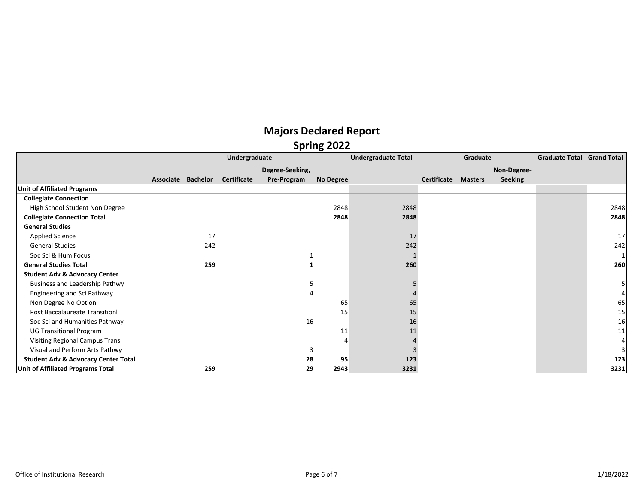|                                                |                    |     |                    |                 | 391115 2022 |                            |             |                |                |                                   |      |
|------------------------------------------------|--------------------|-----|--------------------|-----------------|-------------|----------------------------|-------------|----------------|----------------|-----------------------------------|------|
|                                                |                    |     | Undergraduate      |                 |             | <b>Undergraduate Total</b> | Graduate    |                |                | <b>Graduate Total Grand Total</b> |      |
|                                                |                    |     |                    | Degree-Seeking, |             |                            |             |                | Non-Degree-    |                                   |      |
|                                                | Associate Bachelor |     | <b>Certificate</b> | Pre-Program     | No Degree   |                            | Certificate | <b>Masters</b> | <b>Seeking</b> |                                   |      |
| <b>Unit of Affiliated Programs</b>             |                    |     |                    |                 |             |                            |             |                |                |                                   |      |
| <b>Collegiate Connection</b>                   |                    |     |                    |                 |             |                            |             |                |                |                                   |      |
| High School Student Non Degree                 |                    |     |                    |                 | 2848        | 2848                       |             |                |                |                                   | 2848 |
| <b>Collegiate Connection Total</b>             |                    |     |                    |                 | 2848        | 2848                       |             |                |                |                                   | 2848 |
| <b>General Studies</b>                         |                    |     |                    |                 |             |                            |             |                |                |                                   |      |
| <b>Applied Science</b>                         |                    | 17  |                    |                 |             | 17                         |             |                |                |                                   | 17   |
| <b>General Studies</b>                         |                    | 242 |                    |                 |             | 242                        |             |                |                |                                   | 242  |
| Soc Sci & Hum Focus                            |                    |     |                    |                 |             |                            |             |                |                |                                   |      |
| <b>General Studies Total</b>                   |                    | 259 |                    |                 |             | 260                        |             |                |                |                                   | 260  |
| <b>Student Adv &amp; Advocacy Center</b>       |                    |     |                    |                 |             |                            |             |                |                |                                   |      |
| Business and Leadership Pathwy                 |                    |     |                    |                 | 5           |                            |             |                |                |                                   |      |
| Engineering and Sci Pathway                    |                    |     |                    |                 |             |                            |             |                |                |                                   |      |
| Non Degree No Option                           |                    |     |                    |                 | 65          | 65                         |             |                |                |                                   | 65   |
| <b>Post Baccalaureate Transitionl</b>          |                    |     |                    |                 | 15          | 15                         |             |                |                |                                   | 15   |
| Soc Sci and Humanities Pathway                 |                    |     |                    | 16              |             | 16                         |             |                |                |                                   | 16   |
| <b>UG Transitional Program</b>                 |                    |     |                    |                 | 11          | 11                         |             |                |                |                                   | 11   |
| Visiting Regional Campus Trans                 |                    |     |                    |                 |             |                            |             |                |                |                                   |      |
| Visual and Perform Arts Pathwy                 |                    |     |                    |                 | 3           |                            |             |                |                |                                   |      |
| <b>Student Adv &amp; Advocacy Center Total</b> |                    |     |                    | 28              | 95          | 123                        |             |                |                |                                   | 123  |
| Unit of Affiliated Programs Total              |                    | 259 |                    | 29              | 2943        | 3231                       |             |                |                |                                   | 3231 |